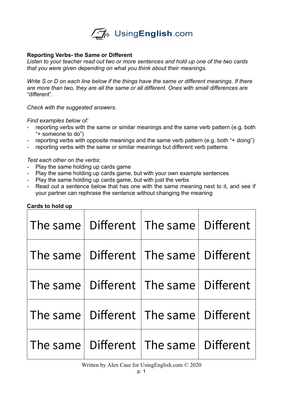

### **Reporting Verbs- the Same or Different**

*Listen to your teacher read out two or more sentences and hold up one of the two cards that you were given depending on what you think about their meanings.* 

*Write S or D on each line below if the things have the same or different meanings. If there are more than two, they are all the same or all different. Ones with small differences are*  "different"*.* 

*Check with the suggested answers.* 

#### *Find examples below of:*

- reporting verbs with the same or similar meanings and the same verb pattern (e.g. both "+ someone to do")
- reporting verbs with opposite meanings and the same verb pattern (e.g. both "+ doing")
- reporting verbs with the same or similar meanings but different verb patterns

### *Test each other on the verbs:*

- Play the same holding up cards game
- Play the same holding up cards game, but with your own example sentences
- Play the same holding up cards game, but with just the verbs
- Read out a sentence below that has one with the same meaning next to it, and see if your partner can rephrase the sentence without changing the meaning

| The same | Different   The same   Different |  |
|----------|----------------------------------|--|
| The same | Different   The same   Different |  |
| The same | Different   The same   Different |  |
| The same | Different   The same   Different |  |
| The same | Different   The same   Different |  |

# **Cards to hold up**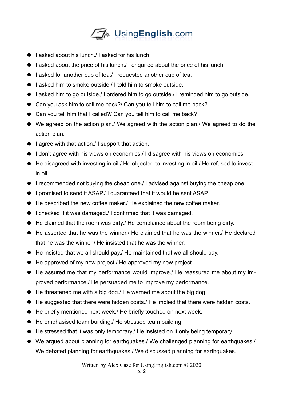

- $\bullet$  lasked about his lunch. I asked for his lunch.
- I asked about the price of his lunch. I enquired about the price of his lunch.
- I asked for another cup of tea./ I requested another cup of tea.
- I asked him to smoke outside./ I told him to smoke outside.
- I asked him to go outside./ I ordered him to go outside./ I reminded him to go outside.
- Can you ask him to call me back?/ Can you tell him to call me back?
- Can you tell him that I called?/ Can you tell him to call me back?
- We agreed on the action plan./ We agreed with the action plan./ We agreed to do the action plan.
- I agree with that action. I support that action.
- I don't agree with his views on economics./ I disagree with his views on economics.
- He disagreed with investing in oil./ He objected to investing in oil./ He refused to invest in oil.
- I recommended not buying the cheap one./ I advised against buying the cheap one.
- I promised to send it ASAP./ I guaranteed that it would be sent ASAP.
- He described the new coffee maker./ He explained the new coffee maker.
- I checked if it was damaged./ I confirmed that it was damaged.
- He claimed that the room was dirty./ He complained about the room being dirty.
- He asserted that he was the winner./ He claimed that he was the winner./ He declared that he was the winner./ He insisted that he was the winner.
- He insisted that we all should pay./ He maintained that we all should pay.
- He approved of my new project. He approved my new project.
- He assured me that my performance would improve./ He reassured me about my improved performance./ He persuaded me to improve my performance.
- He threatened me with a big dog./ He warned me about the big dog.
- He suggested that there were hidden costs./ He implied that there were hidden costs.
- He briefly mentioned next week./ He briefly touched on next week.
- He emphasised team building./ He stressed team building.
- He stressed that it was only temporary./ He insisted on it only being temporary.
- We argued about planning for earthquakes./ We challenged planning for earthquakes./ We debated planning for earthquakes./ We discussed planning for earthquakes.

Written by Alex Case for UsingEnglish.com © 2020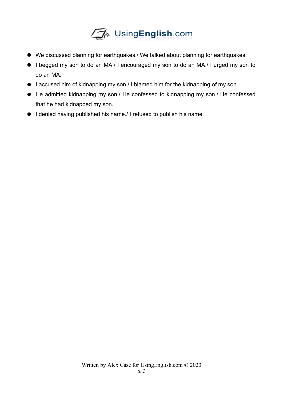

- We discussed planning for earthquakes./ We talked about planning for earthquakes.
- I begged my son to do an MA./ I encouraged my son to do an MA./ I urged my son to do an MA.
- I accused him of kidnapping my son./ I blamed him for the kidnapping of my son.
- He admitted kidnapping my son./ He confessed to kidnapping my son./ He confessed that he had kidnapped my son.
- I denied having published his name./ I refused to publish his name.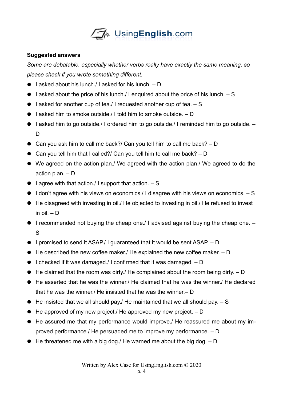

# **Suggested answers**

*Some are debatable, especially whether verbs really have exactly the same meaning, so please check if you wrote something different.* 

- $\bullet$  l asked about his lunch./ I asked for his lunch.  $D$
- $\bullet$  I asked about the price of his lunch. I enquired about the price of his lunch.  $-$  S
- $\bullet$  l asked for another cup of tea./ I requested another cup of tea.  $-$  S
- $\bullet$  l asked him to smoke outside. I told him to smoke outside.  $D$
- $\bullet$  l asked him to go outside./ I ordered him to go outside./ I reminded him to go outside.  $-$ D<sub>1</sub>
- Can you ask him to call me back?/ Can you tell him to call me back? D
- Can you tell him that I called?/ Can you tell him to call me back? D
- We agreed on the action plan./ We agreed with the action plan./ We agreed to do the action plan. – D
- $\bullet$  I agree with that action./ I support that action.  $S$
- $\bullet$  I don't agree with his views on economics./ I disagree with his views on economics.  $-$  S
- He disagreed with investing in oil./ He objected to investing in oil./ He refused to invest in oil. – D
- $\bullet$  I recommended not buying the cheap one. I advised against buying the cheap one.  $-$ S
- $\bullet$  I promised to send it ASAP./ I quaranteed that it would be sent ASAP.  $-$  D
- $\bullet$  He described the new coffee maker./ He explained the new coffee maker.  $D$
- $\bullet$  I checked if it was damaged./ I confirmed that it was damaged.  $D$
- $\bullet$  He claimed that the room was dirty. He complained about the room being dirty.  $D$
- He asserted that he was the winner./ He claimed that he was the winner./ He declared that he was the winner./ He insisted that he was the winner.– D
- $\bullet$  He insisted that we all should pay. He maintained that we all should pay.  $\sim$  S
- $\bullet$  He approved of my new project./ He approved my new project.  $D$
- He assured me that my performance would improve./ He reassured me about my improved performance./ He persuaded me to improve my performance. – D
- $\bullet$  He threatened me with a big dog./ He warned me about the big dog.  $D$

Written by Alex Case for UsingEnglish.com © 2020